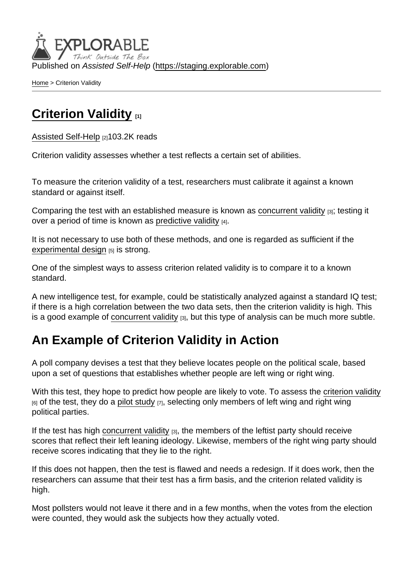Published on Assisted Self-Help [\(https://staging.explorable.com](https://staging.explorable.com))

[Home](https://staging.explorable.com/en) > Criterion Validity

## [Criterion Validity](https://staging.explorable.com/en/criterion-validity) [1]

[Assisted Self-Help](https://staging.explorable.com/en) [2]103.2K reads

Criterion validity assesses whether a test reflects a certain set of abilities.

To measure the criterion validity of a test, researchers must calibrate it against a known standard or against itself.

Comparing the test with an established measure is known as [concurrent validity](https://staging.explorable.com/concurrent-validity) [3]; testing it over a period of time is known as [predictive validity](https://staging.explorable.com/predictive-validity)  $[4]$ .

It is not necessary to use both of these methods, and one is regarded as sufficient if the [experimental design](https://staging.explorable.com/design-of-experiment) [5] is strong.

One of the simplest ways to assess criterion related validity is to compare it to a known standard.

A new intelligence test, for example, could be statistically analyzed against a standard IQ test; if there is a high correlation between the two data sets, then the criterion validity is high. This is a good example of [concurrent validity](https://staging.explorable.com/concurrent-validity)  $[3]$ , but this type of analysis can be much more subtle.

## An Example of Criterion Validity in Action

A poll company devises a test that they believe locates people on the political scale, based upon a set of questions that establishes whether people are left wing or right wing.

With this test, they hope to predict how people are likely to vote. To assess the [criterion validity](http://en.wikipedia.org/wiki/Criterion_validity)  $_{[6]}$  of the test, they do a [pilot study](https://staging.explorable.com/pilot-study)  $_{[7]}$ , selecting only members of left wing and right wing political parties.

If the test has high [concurrent validity](https://staging.explorable.com/concurrent-validity)  $_{[3]}$ , the members of the leftist party should receive scores that reflect their left leaning ideology. Likewise, members of the right wing party should receive scores indicating that they lie to the right.

If this does not happen, then the test is flawed and needs a redesign. If it does work, then the researchers can assume that their test has a firm basis, and the criterion related validity is high.

Most pollsters would not leave it there and in a few months, when the votes from the election were counted, they would ask the subjects how they actually voted.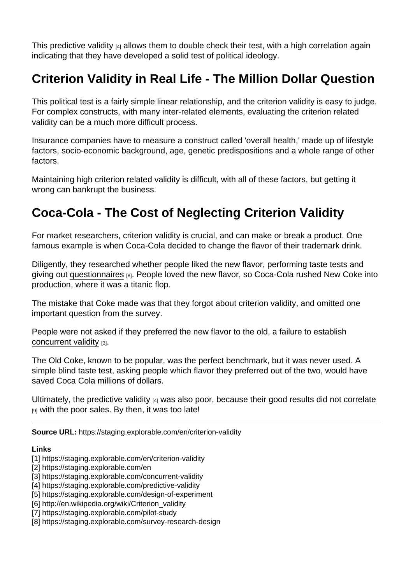This [predictive validity](https://staging.explorable.com/predictive-validity)  $[4]$  allows them to double check their test, with a high correlation again indicating that they have developed a solid test of political ideology.

## Criterion Validity in Real Life - The Million Dollar Question

This political test is a fairly simple linear relationship, and the criterion validity is easy to judge. For complex constructs, with many inter-related elements, evaluating the criterion related validity can be a much more difficult process.

Insurance companies have to measure a construct called 'overall health,' made up of lifestyle factors, socio-economic background, age, genetic predispositions and a whole range of other factors.

Maintaining high criterion related validity is difficult, with all of these factors, but getting it wrong can bankrupt the business.

## Coca-Cola - The Cost of Neglecting Criterion Validity

For market researchers, criterion validity is crucial, and can make or break a product. One famous example is when Coca-Cola decided to change the flavor of their trademark drink.

Diligently, they researched whether people liked the new flavor, performing taste tests and giving out [questionnaires](https://staging.explorable.com/survey-research-design) [8]. People loved the new flavor, so Coca-Cola rushed New Coke into production, where it was a titanic flop.

The mistake that Coke made was that they forgot about criterion validity, and omitted one important question from the survey.

People were not asked if they preferred the new flavor to the old, a failure to establish [concurrent validity](https://staging.explorable.com/concurrent-validity) [3].

The Old Coke, known to be popular, was the perfect benchmark, but it was never used. A simple blind taste test, asking people which flavor they preferred out of the two, would have saved Coca Cola millions of dollars.

Ultimately, the [predictive validity](https://staging.explorable.com/predictive-validity)  $[4]$  was also poor, because their good results did not [correlate](https://staging.explorable.com/statistical-correlation) [9] with the poor sales. By then, it was too late!

Source URL: https://staging.explorable.com/en/criterion-validity

Links

- [1] https://staging.explorable.com/en/criterion-validity
- [2] https://staging.explorable.com/en

[3] https://staging.explorable.com/concurrent-validity

- [4] https://staging.explorable.com/predictive-validity
- [5] https://staging.explorable.com/design-of-experiment
- [6] http://en.wikipedia.org/wiki/Criterion\_validity
- [7] https://staging.explorable.com/pilot-study
- [8] https://staging.explorable.com/survey-research-design